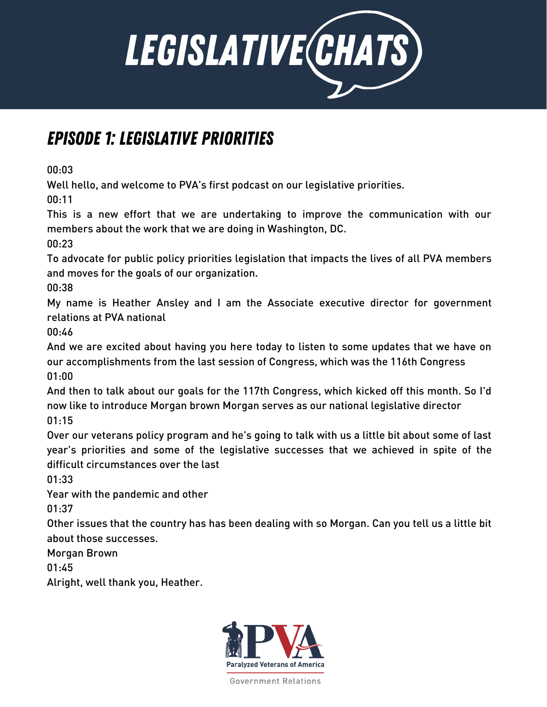

## Episode 1: Legislative Priorities

00:03

Well hello, and welcome to PVA's first podcast on our legislative priorities.

00:11

This is a new effort that we are undertaking to improve the communication with our members about the work that we are doing in Washington, DC.

00:23

To advocate for public policy priorities legislation that impacts the lives of all PVA members and moves for the goals of our organization.

00:38

My name is Heather Ansley and I am the Associate executive director for government relations at PVA national

00:46

And we are excited about having you here today to listen to some updates that we have on our accomplishments from the last session of Congress, which was the 116th Congress 01:00

And then to talk about our goals for the 117th Congress, which kicked off this month. So I'd now like to introduce Morgan brown Morgan serves as our national legislative director 01:15

Over our veterans policy program and he's going to talk with us a little bit about some of last year's priorities and some of the legislative successes that we achieved in spite of the difficult circumstances over the last

01:33

Year with the pandemic and other

01:37

Other issues that the country has has been dealing with so Morgan. Can you tell us a little bit about those successes.

Morgan Brown

01:45

Alright, well thank you, Heather.

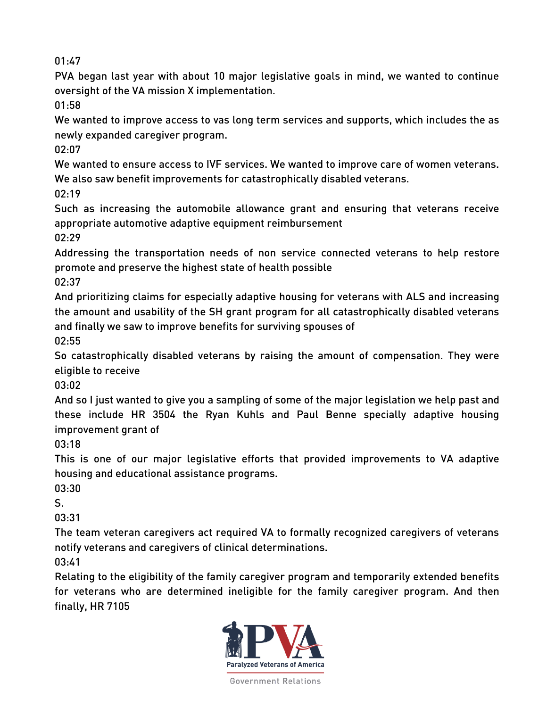PVA began last year with about 10 major legislative goals in mind, we wanted to continue oversight of the VA mission X implementation.

01:58

We wanted to improve access to vas long term services and supports, which includes the as newly expanded caregiver program.

02:07

We wanted to ensure access to IVF services. We wanted to improve care of women veterans. We also saw benefit improvements for catastrophically disabled veterans.

02:19

Such as increasing the automobile allowance grant and ensuring that veterans receive appropriate automotive adaptive equipment reimbursement

02:29

Addressing the transportation needs of non service connected veterans to help restore promote and preserve the highest state of health possible

02:37

And prioritizing claims for especially adaptive housing for veterans with ALS and increasing the amount and usability of the SH grant program for all catastrophically disabled veterans and finally we saw to improve benefits for surviving spouses of

02:55

So catastrophically disabled veterans by raising the amount of compensation. They were eligible to receive

03:02

And so I just wanted to give you a sampling of some of the major legislation we help past and these include HR 3504 the Ryan Kuhls and Paul Benne specially adaptive housing improvement grant of

03:18

This is one of our major legislative efforts that provided improvements to VA adaptive housing and educational assistance programs.

03:30

S.

03:31

The team veteran caregivers act required VA to formally recognized caregivers of veterans notify veterans and caregivers of clinical determinations.

03:41

Relating to the eligibility of the family caregiver program and temporarily extended benefits for veterans who are determined ineligible for the family caregiver program. And then finally, HR 7105

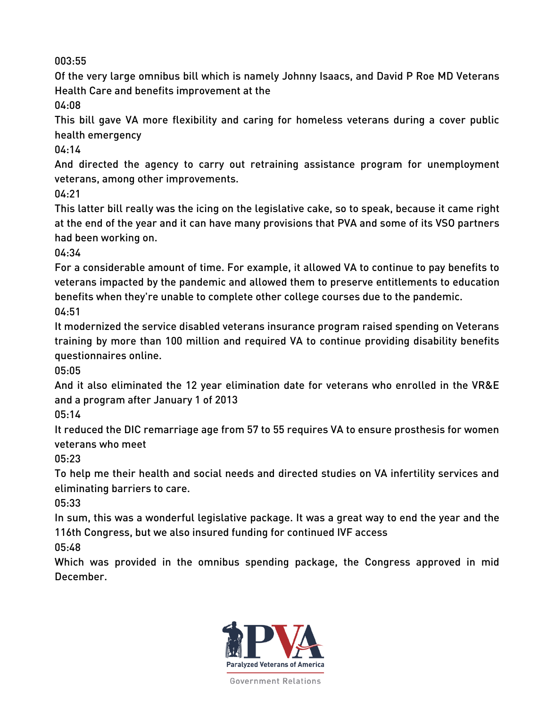Of the very large omnibus bill which is namely Johnny Isaacs, and David P Roe MD Veterans Health Care and benefits improvement at the

04:08

This bill gave VA more flexibility and caring for homeless veterans during a cover public health emergency

04:14

And directed the agency to carry out retraining assistance program for unemployment veterans, among other improvements.

04:21

This latter bill really was the icing on the legislative cake, so to speak, because it came right at the end of the year and it can have many provisions that PVA and some of its VSO partners had been working on.

04:34

For a considerable amount of time. For example, it allowed VA to continue to pay benefits to veterans impacted by the pandemic and allowed them to preserve entitlements to education benefits when they're unable to complete other college courses due to the pandemic. 04:51

It modernized the service disabled veterans insurance program raised spending on Veterans training by more than 100 million and required VA to continue providing disability benefits questionnaires online.

05:05

And it also eliminated the 12 year elimination date for veterans who enrolled in the VR&E and a program after January 1 of 2013

05:14

It reduced the DIC remarriage age from 57 to 55 requires VA to ensure prosthesis for women veterans who meet

05:23

To help me their health and social needs and directed studies on VA infertility services and eliminating barriers to care.

05:33

In sum, this was a wonderful legislative package. It was a great way to end the year and the 116th Congress, but we also insured funding for continued IVF access

05:48

Which was provided in the omnibus spending package, the Congress approved in mid December.

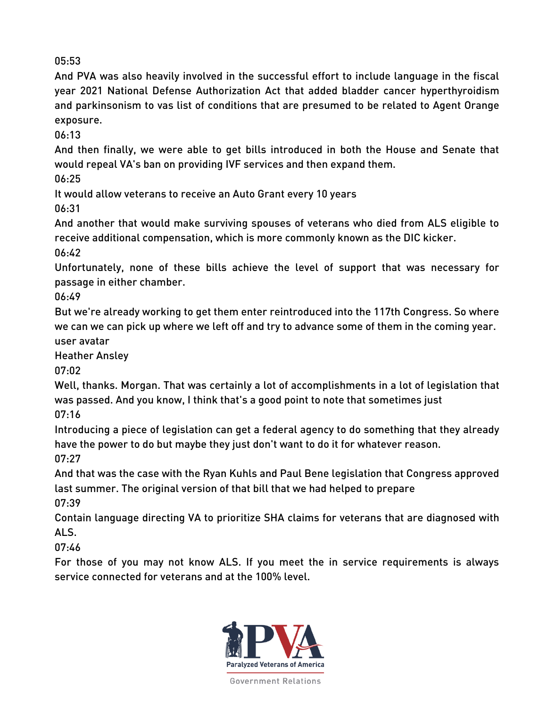And PVA was also heavily involved in the successful effort to include language in the fiscal year 2021 National Defense Authorization Act that added bladder cancer hyperthyroidism and parkinsonism to vas list of conditions that are presumed to be related to Agent Orange exposure.

06:13

And then finally, we were able to get bills introduced in both the House and Senate that would repeal VA's ban on providing IVF services and then expand them.

06:25

It would allow veterans to receive an Auto Grant every 10 years

06:31

And another that would make surviving spouses of veterans who died from ALS eligible to receive additional compensation, which is more commonly known as the DIC kicker. 06:42

Unfortunately, none of these bills achieve the level of support that was necessary for passage in either chamber.

06:49

But we're already working to get them enter reintroduced into the 117th Congress. So where we can we can pick up where we left off and try to advance some of them in the coming year. user avatar

Heather Ansley

07:02

Well, thanks. Morgan. That was certainly a lot of accomplishments in a lot of legislation that was passed. And you know, I think that's a good point to note that sometimes just 07:16

Introducing a piece of legislation can get a federal agency to do something that they already have the power to do but maybe they just don't want to do it for whatever reason. 07:27

And that was the case with the Ryan Kuhls and Paul Bene legislation that Congress approved last summer. The original version of that bill that we had helped to prepare 07:39

Contain language directing VA to prioritize SHA claims for veterans that are diagnosed with ALS.

07:46

For those of you may not know ALS. If you meet the in service requirements is always service connected for veterans and at the 100% level.

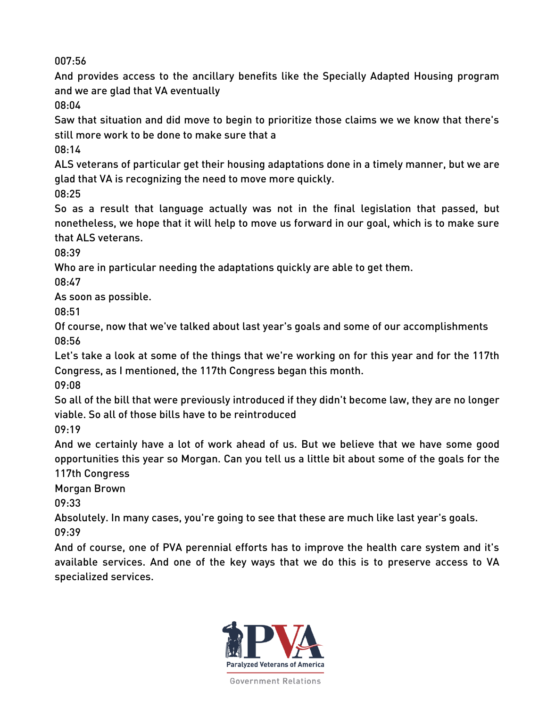And provides access to the ancillary benefits like the Specially Adapted Housing program and we are glad that VA eventually

08:04

Saw that situation and did move to begin to prioritize those claims we we know that there's still more work to be done to make sure that a

08:14

ALS veterans of particular get their housing adaptations done in a timely manner, but we are glad that VA is recognizing the need to move more quickly.

08:25

So as a result that language actually was not in the final legislation that passed, but nonetheless, we hope that it will help to move us forward in our goal, which is to make sure that ALS veterans.

08:39

Who are in particular needing the adaptations quickly are able to get them.

08:47

As soon as possible.

08:51

Of course, now that we've talked about last year's goals and some of our accomplishments 08:56

Let's take a look at some of the things that we're working on for this year and for the 117th Congress, as I mentioned, the 117th Congress began this month.

09:08

So all of the bill that were previously introduced if they didn't become law, they are no longer viable. So all of those bills have to be reintroduced

09:19

And we certainly have a lot of work ahead of us. But we believe that we have some good opportunities this year so Morgan. Can you tell us a little bit about some of the goals for the 117th Congress

Morgan Brown

09:33

Absolutely. In many cases, you're going to see that these are much like last year's goals. 09:39

And of course, one of PVA perennial efforts has to improve the health care system and it's available services. And one of the key ways that we do this is to preserve access to VA specialized services.

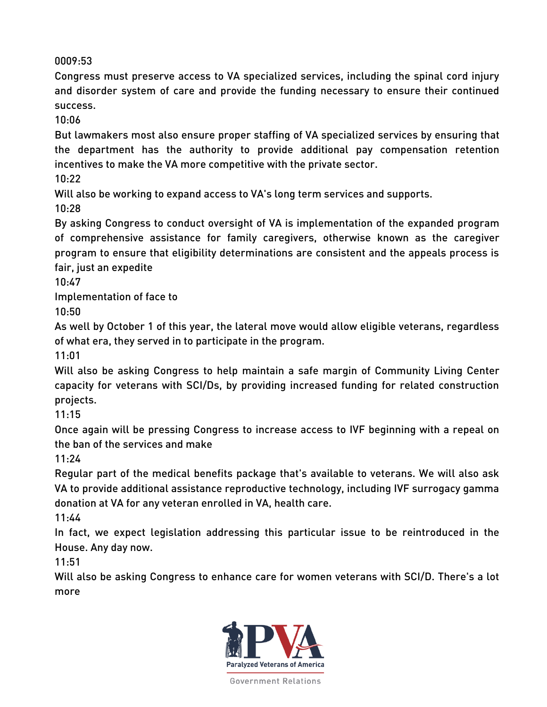Congress must preserve access to VA specialized services, including the spinal cord injury and disorder system of care and provide the funding necessary to ensure their continued success.

10:06

But lawmakers most also ensure proper staffing of VA specialized services by ensuring that the department has the authority to provide additional pay compensation retention incentives to make the VA more competitive with the private sector.

10:22

Will also be working to expand access to VA's long term services and supports.

10:28

By asking Congress to conduct oversight of VA is implementation of the expanded program of comprehensive assistance for family caregivers, otherwise known as the caregiver program to ensure that eligibility determinations are consistent and the appeals process is fair, just an expedite

10:47

Implementation of face to

10:50

As well by October 1 of this year, the lateral move would allow eligible veterans, regardless of what era, they served in to participate in the program.

11:01

Will also be asking Congress to help maintain a safe margin of Community Living Center capacity for veterans with SCI/Ds, by providing increased funding for related construction projects.

11:15

Once again will be pressing Congress to increase access to IVF beginning with a repeal on the ban of the services and make

11:24

Regular part of the medical benefits package that's available to veterans. We will also ask VA to provide additional assistance reproductive technology, including IVF surrogacy gamma donation at VA for any veteran enrolled in VA, health care.

11:44

In fact, we expect legislation addressing this particular issue to be reintroduced in the House. Any day now.

11:51

Will also be asking Congress to enhance care for women veterans with SCI/D. There's a lot more

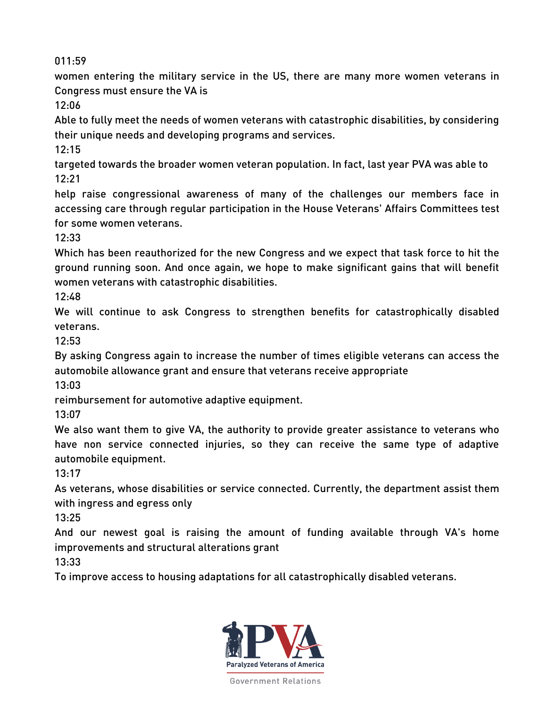women entering the military service in the US, there are many more women veterans in Congress must ensure the VA is

12:06

Able to fully meet the needs of women veterans with catastrophic disabilities, by considering their unique needs and developing programs and services.

12:15

targeted towards the broader women veteran population. In fact, last year PVA was able to 12:21

help raise congressional awareness of many of the challenges our members face in accessing care through regular participation in the House Veterans' Affairs Committees test for some women veterans.

12:33

Which has been reauthorized for the new Congress and we expect that task force to hit the ground running soon. And once again, we hope to make significant gains that will benefit women veterans with catastrophic disabilities.

12:48

We will continue to ask Congress to strengthen benefits for catastrophically disabled veterans.

12:53

By asking Congress again to increase the number of times eligible veterans can access the automobile allowance grant and ensure that veterans receive appropriate

13:03

reimbursement for automotive adaptive equipment.

13:07

We also want them to give VA, the authority to provide greater assistance to veterans who have non service connected injuries, so they can receive the same type of adaptive automobile equipment.

13:17

As veterans, whose disabilities or service connected. Currently, the department assist them with ingress and egress only

13:25

And our newest goal is raising the amount of funding available through VA's home improvements and structural alterations grant

13:33

To improve access to housing adaptations for all catastrophically disabled veterans.

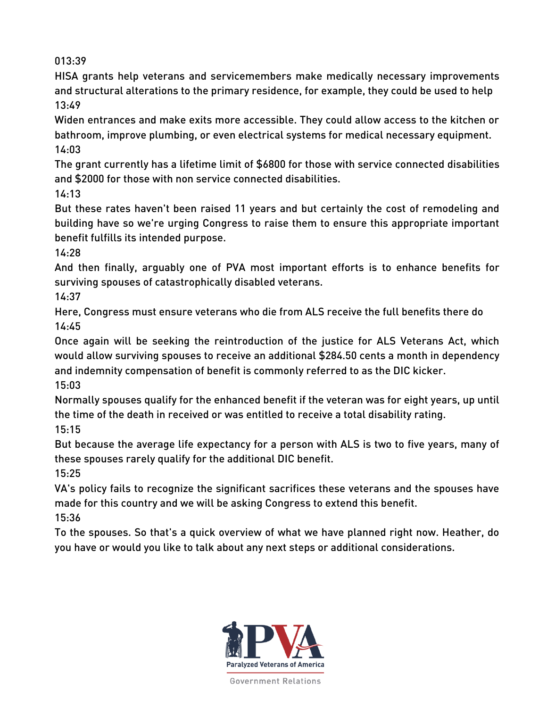HISA grants help veterans and servicemembers make medically necessary improvements and structural alterations to the primary residence, for example, they could be used to help 13:49

Widen entrances and make exits more accessible. They could allow access to the kitchen or bathroom, improve plumbing, or even electrical systems for medical necessary equipment. 14:03

The grant currently has a lifetime limit of \$6800 for those with service connected disabilities and \$2000 for those with non service connected disabilities.

14:13

But these rates haven't been raised 11 years and but certainly the cost of remodeling and building have so we're urging Congress to raise them to ensure this appropriate important benefit fulfills its intended purpose.

14:28

And then finally, arguably one of PVA most important efforts is to enhance benefits for surviving spouses of catastrophically disabled veterans.

14:37

Here, Congress must ensure veterans who die from ALS receive the full benefits there do 14:45

Once again will be seeking the reintroduction of the justice for ALS Veterans Act, which would allow surviving spouses to receive an additional \$284.50 cents a month in dependency and indemnity compensation of benefit is commonly referred to as the DIC kicker. 15:03

Normally spouses qualify for the enhanced benefit if the veteran was for eight years, up until the time of the death in received or was entitled to receive a total disability rating. 15:15

But because the average life expectancy for a person with ALS is two to five years, many of these spouses rarely qualify for the additional DIC benefit.

15:25

VA's policy fails to recognize the significant sacrifices these veterans and the spouses have made for this country and we will be asking Congress to extend this benefit. 15:36

To the spouses. So that's a quick overview of what we have planned right now. Heather, do you have or would you like to talk about any next steps or additional considerations.

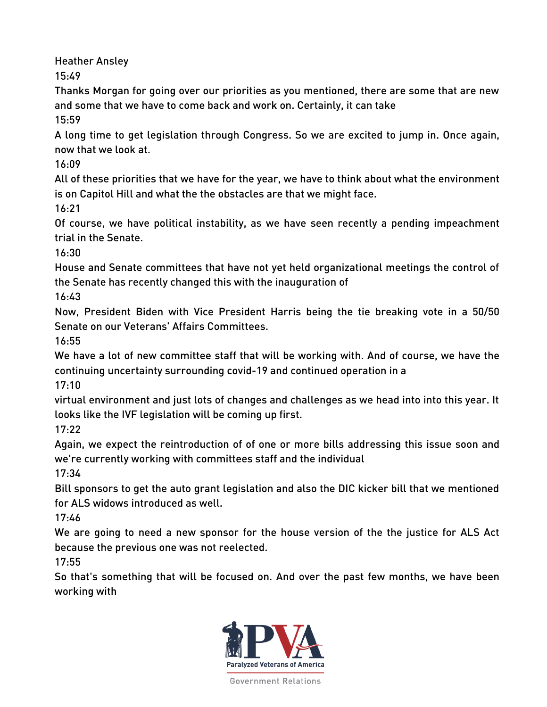Heather Ansley

15:49

Thanks Morgan for going over our priorities as you mentioned, there are some that are new and some that we have to come back and work on. Certainly, it can take

15:59

A long time to get legislation through Congress. So we are excited to jump in. Once again, now that we look at.

16:09

All of these priorities that we have for the year, we have to think about what the environment is on Capitol Hill and what the the obstacles are that we might face.

16:21

Of course, we have political instability, as we have seen recently a pending impeachment trial in the Senate.

16:30

House and Senate committees that have not yet held organizational meetings the control of the Senate has recently changed this with the inauguration of

16:43

Now, President Biden with Vice President Harris being the tie breaking vote in a 50/50 Senate on our Veterans' Affairs Committees.

16:55

We have a lot of new committee staff that will be working with. And of course, we have the continuing uncertainty surrounding covid-19 and continued operation in a

17:10

virtual environment and just lots of changes and challenges as we head into into this year. It looks like the IVF legislation will be coming up first.

17:22

Again, we expect the reintroduction of of one or more bills addressing this issue soon and we're currently working with committees staff and the individual

17:34

Bill sponsors to get the auto grant legislation and also the DIC kicker bill that we mentioned for ALS widows introduced as well.

17:46

We are going to need a new sponsor for the house version of the the justice for ALS Act because the previous one was not reelected.

17:55

So that's something that will be focused on. And over the past few months, we have been working with

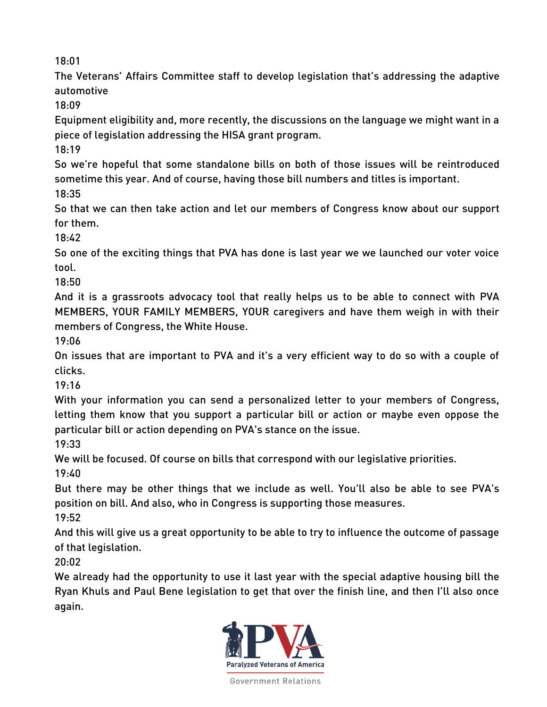The Veterans' Affairs Committee staff to develop legislation that's addressing the adaptive automotive

18:09

Equipment eligibility and, more recently, the discussions on the language we might want in a piece of legislation addressing the HISA grant program.

18:19

So we're hopeful that some standalone bills on both of those issues will be reintroduced sometime this year. And of course, having those bill numbers and titles is important. 18:35

So that we can then take action and let our members of Congress know about our support for them.

18:42

So one of the exciting things that PVA has done is last year we we launched our voter voice tool.

18:50

And it is a grassroots advocacy tool that really helps us to be able to connect with PVA MEMBERS, YOUR FAMILY MEMBERS, YOUR caregivers and have them weigh in with their members of Congress, the White House.

19:06

On issues that are important to PVA and it's a very efficient way to do so with a couple of clicks.

19:16

With your information you can send a personalized letter to your members of Congress, letting them know that you support a particular bill or action or maybe even oppose the particular bill or action depending on PVA's stance on the issue.

19:33

We will be focused. Of course on bills that correspond with our legislative priorities.

19:40

But there may be other things that we include as well. You'll also be able to see PVA's position on bill. And also, who in Congress is supporting those measures.

19:52

And this will give us a great opportunity to be able to try to influence the outcome of passage of that legislation.

20:02

We already had the opportunity to use it last year with the special adaptive housing bill the Ryan Khuls and Paul Bene legislation to get that over the finish line, and then I'll also once again.